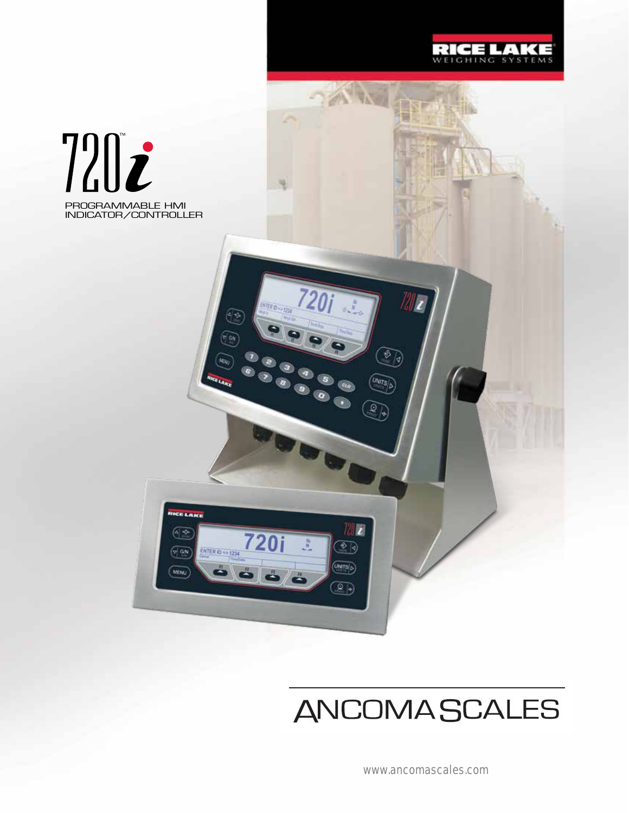

TAW

**TERED VERTICA** 

 $\frac{m}{N}$ 

 $\bullet$   $\bullet$   $\bullet$ 

 $\circledcirc$ 

720

 $\circledcirc$ 

RICE LAKE

 $\sqrt{a_N}$ 

MENU

ENTER ID NO 1234





 $\mathbf{z}$ 

 $\widehat{\mathbb{P}}$ 

**UNITS** 

O)

 $\overline{\mathbf{z}}$ 

 $\circledcirc$ 

 $\overline{\text{UNTS}}$  $\overline{\text{p}}$ 

 $\circledcirc$ 

www.ancomascales.com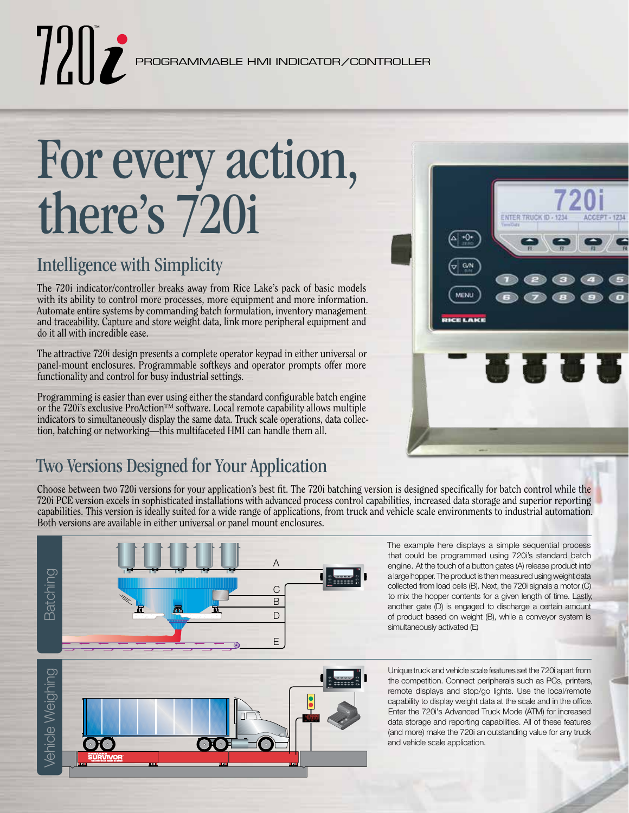# For every action, there's 720i

# Intelligence with Simplicity

The 720i indicator/controller breaks away from Rice Lake's pack of basic models with its ability to control more processes, more equipment and more information. Automate entire systems by commanding batch formulation, inventory management and traceability. Capture and store weight data, link more peripheral equipment and do it all with incredible ease.

The attractive 720i design presents a complete operator keypad in either universal or panel-mount enclosures. Programmable softkeys and operator prompts offer more functionality and control for busy industrial settings.

Programming is easier than ever using either the standard configurable batch engine or the 720i's exclusive ProAction™ software. Local remote capability allows multiple indicators to simultaneously display the same data. Truck scale operations, data collection, batching or networking—this multifaceted HMI can handle them all.

# Two Versions Designed for Your Application

Choose between two 720i versions for your application's best fit. The 720i batching version is designed specifically for batch control while the 720i PCE version excels in sophisticated installations with advanced process control capabilities, increased data storage and superior reporting capabilities. This version is ideally suited for a wide range of applications, from truck and vehicle scale environments to industrial automation. Both versions are available in either universal or panel mount enclosures.



The example here displays a simple sequential process that could be programmed using 720i's standard batch engine. At the touch of a button gates (A) release product into a large hopper. The product is then measured using weight data collected from load cells (B). Next, the 720i signals a motor (C) to mix the hopper contents for a given length of time. Lastly, another gate (D) is engaged to discharge a certain amount of product based on weight (B), while a conveyor system is simultaneously activated (E)

/ehicle Weighing Vehicle Weighing

Unique truck and vehicle scale features set the 720i apart from the competition. Connect peripherals such as PCs, printers, remote displays and stop/go lights. Use the local/remote capability to display weight data at the scale and in the office. Enter the 720i's Advanced Truck Mode (ATM) for increased data storage and reporting capabilities. All of these features (and more) make the 720i an outstanding value for any truck and vehicle scale application.

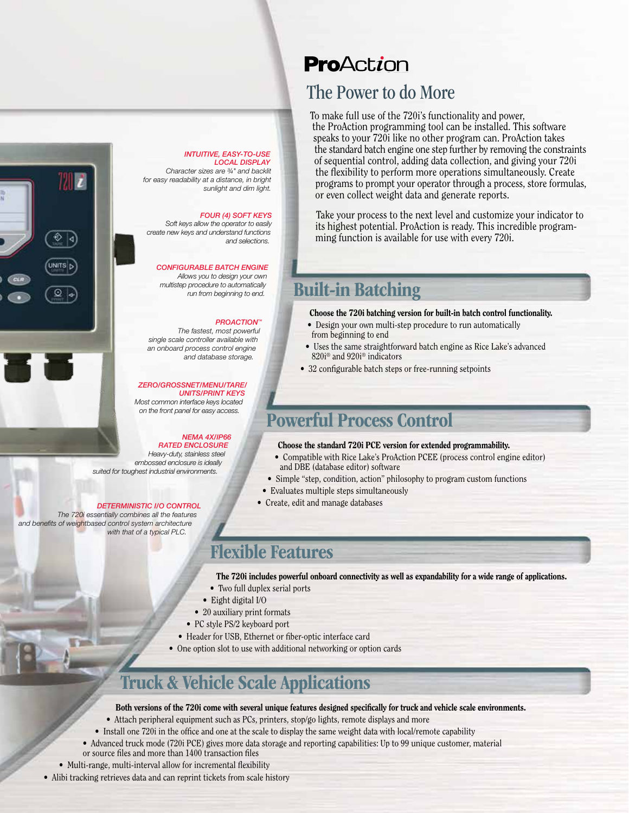#### *INTUITIVE, EASY-TO-USE LOCAL DISPLAY*

*Character sizes are ¾" and backlit for easy readability at a distance, in bright sunlight and dim light.* 

#### *FOUR (4) SOFT KEYS*

*Soft keys allow the operator to easily create new keys and understand functions and selections.*

#### *CONFIGURABLE BATCH ENGINE*

*Allows you to design your own multistep procedure to automatically* 

#### *PROACTION™*

*The fastest, most powerful single scale controller available with an onboard process control engine and database storage.*

*ZERO/GROSSNET/MENU/TARE/ UNITS/PRINT KEYS Most common interface keys located on the front panel for easy access.*

*Heavy-duty, stainless steel embossed enclosure is ideally suited for toughest industrial environments.*

*The 720i essentially combines all the features and benefits of weightbased control system architecture with that of a typical PLC.*

72 I

UNITS D

 $Q_{\alpha}$ 

*run from beginning to end.*

### *NEMA 4X/IP66*

*RATED ENCLOSURE*

#### *DETERMINISTIC I/O CONTROL*

### The Power to do More

To make full use of the 720i's functionality and power, the ProAction programming tool can be installed. This software speaks to your 720i like no other program can. ProAction takes the standard batch engine one step further by removing the constraints of sequential control, adding data collection, and giving your 720i the flexibility to perform more operations simultaneously. Create programs to prompt your operator through a process, store formulas, or even collect weight data and generate reports.

Take your process to the next level and customize your indicator to its highest potential. ProAction is ready. This incredible programming function is available for use with every 720i.

### Built-in Batching

#### Choose the 720i batching version for built-in batch control functionality.

- Design your own multi-step procedure to run automatically from beginning to end
- Uses the same straightforward batch engine as Rice Lake's advanced 820i® and 920i® indicators
- 32 configurable batch steps or free-running setpoints

# Powerful Process Control

- Choose the standard 720i PCE version for extended programmability.
- Compatible with Rice Lake's ProAction PCEE (process control engine editor) and DBE (database editor) software
- Simple "step, condition, action" philosophy to program custom functions
- Evaluates multiple steps simultaneously
- Create, edit and manage databases

### Flexible Features

- The 720i includes powerful onboard connectivity as well as expandability for a wide range of applications.
- Two full duplex serial ports
- Eight digital I/O
- 20 auxiliary print formats
- PC style PS/2 keyboard port
- Header for USB, Ethernet or fiber-optic interface card
- One option slot to use with additional networking or option cards

## Truck & Vehicle Scale Applications

#### Both versions of the 720i come with several unique features designed specifically for truck and vehicle scale environments.

- Attach peripheral equipment such as PCs, printers, stop/go lights, remote displays and more
- Install one 720i in the office and one at the scale to display the same weight data with local/remote capability
- Advanced truck mode (720i PCE) gives more data storage and reporting capabilities: Up to 99 unique customer, material or source files and more than 1400 transaction files
- Multi-range, multi-interval allow for incremental flexibility
- Alibi tracking retrieves data and can reprint tickets from scale history

# **ProAction**